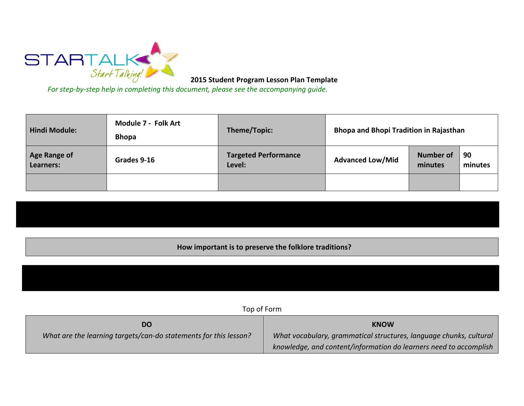

**2015 Student Program Lesson Plan Template** 

*For step-by-step help in completing this document, please see the accompanying guide.*

| <b>Hindi Module:</b>             | Module 7 - Folk Art<br><b>Bhopa</b> | Theme/Topic:                          | <b>Bhopa and Bhopi Tradition in Rajasthan</b> |                             |               |
|----------------------------------|-------------------------------------|---------------------------------------|-----------------------------------------------|-----------------------------|---------------|
| <b>Age Range of</b><br>Learners: | Grades 9-16                         | <b>Targeted Performance</b><br>Level: | <b>Advanced Low/Mid</b>                       | <b>Number of</b><br>minutes | 90<br>minutes |
|                                  |                                     |                                       |                                               |                             |               |

**How important is to preserve the folklore traditions?**

Top of Form

| DO                                                               | <b>KNOW</b>                                                        |  |
|------------------------------------------------------------------|--------------------------------------------------------------------|--|
| What are the learning targets/can-do statements for this lesson? | What vocabulary, grammatical structures, language chunks, cultural |  |
|                                                                  | knowledge, and content/information do learners need to accomplish  |  |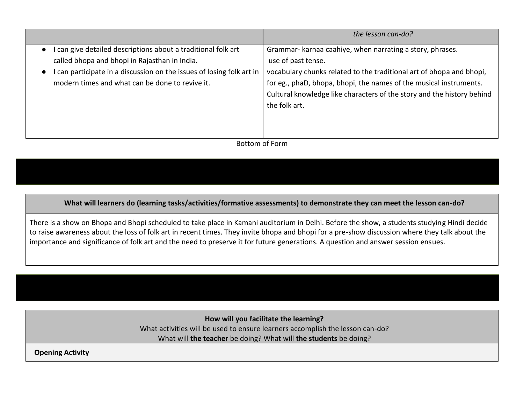|                                                                                                                                                                                                                                                     | the lesson can-do?                                                                                                                                                                                                                                                                                                       |
|-----------------------------------------------------------------------------------------------------------------------------------------------------------------------------------------------------------------------------------------------------|--------------------------------------------------------------------------------------------------------------------------------------------------------------------------------------------------------------------------------------------------------------------------------------------------------------------------|
| can give detailed descriptions about a traditional folk art<br>$\bullet$<br>called bhopa and bhopi in Rajasthan in India.<br>can participate in a discussion on the issues of losing folk art in<br>modern times and what can be done to revive it. | Grammar- karnaa caahiye, when narrating a story, phrases.<br>use of past tense.<br>vocabulary chunks related to the traditional art of bhopa and bhopi,<br>for eg., phaD, bhopa, bhopi, the names of the musical instruments.<br>Cultural knowledge like characters of the story and the history behind<br>the folk art. |

Bottom of Form

**What will learners do (learning tasks/activities/formative assessments) to demonstrate they can meet the lesson can-do?**

There is a show on Bhopa and Bhopi scheduled to take place in Kamani auditorium in Delhi. Before the show, a students studying Hindi decide to raise awareness about the loss of folk art in recent times. They invite bhopa and bhopi for a pre-show discussion where they talk about the importance and significance of folk art and the need to preserve it for future generations. A question and answer session ensues.

> **How will you facilitate the learning?**  What activities will be used to ensure learners accomplish the lesson can-do? What will **the teacher** be doing? What will **the students** be doing?

**Opening Activity**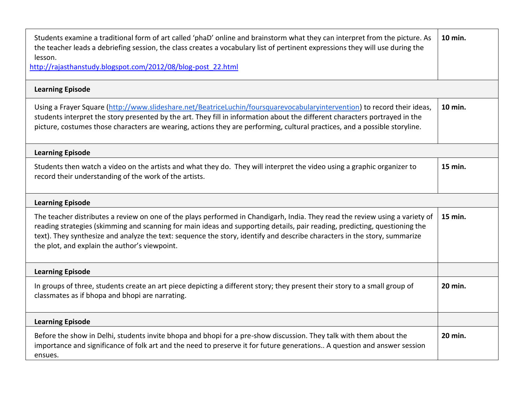| Students examine a traditional form of art called 'phaD' online and brainstorm what they can interpret from the picture. As<br>the teacher leads a debriefing session, the class creates a vocabulary list of pertinent expressions they will use during the<br>lesson.<br>http://rajasthanstudy.blogspot.com/2012/08/blog-post 22.html                                                                                                  | 10 min. |
|------------------------------------------------------------------------------------------------------------------------------------------------------------------------------------------------------------------------------------------------------------------------------------------------------------------------------------------------------------------------------------------------------------------------------------------|---------|
| <b>Learning Episode</b>                                                                                                                                                                                                                                                                                                                                                                                                                  |         |
| Using a Frayer Square (http://www.slideshare.net/BeatriceLuchin/foursquarevocabularyintervention) to record their ideas,<br>students interpret the story presented by the art. They fill in information about the different characters portrayed in the<br>picture, costumes those characters are wearing, actions they are performing, cultural practices, and a possible storyline.                                                    | 10 min. |
| <b>Learning Episode</b>                                                                                                                                                                                                                                                                                                                                                                                                                  |         |
| Students then watch a video on the artists and what they do. They will interpret the video using a graphic organizer to<br>record their understanding of the work of the artists.                                                                                                                                                                                                                                                        | 15 min. |
| <b>Learning Episode</b>                                                                                                                                                                                                                                                                                                                                                                                                                  |         |
| The teacher distributes a review on one of the plays performed in Chandigarh, India. They read the review using a variety of<br>reading strategies (skimming and scanning for main ideas and supporting details, pair reading, predicting, questioning the<br>text). They synthesize and analyze the text: sequence the story, identify and describe characters in the story, summarize<br>the plot, and explain the author's viewpoint. | 15 min. |
| <b>Learning Episode</b>                                                                                                                                                                                                                                                                                                                                                                                                                  |         |
| In groups of three, students create an art piece depicting a different story; they present their story to a small group of<br>classmates as if bhopa and bhopi are narrating.                                                                                                                                                                                                                                                            | 20 min. |
| <b>Learning Episode</b>                                                                                                                                                                                                                                                                                                                                                                                                                  |         |
| Before the show in Delhi, students invite bhopa and bhopi for a pre-show discussion. They talk with them about the<br>importance and significance of folk art and the need to preserve it for future generations A question and answer session<br>ensues.                                                                                                                                                                                | 20 min. |